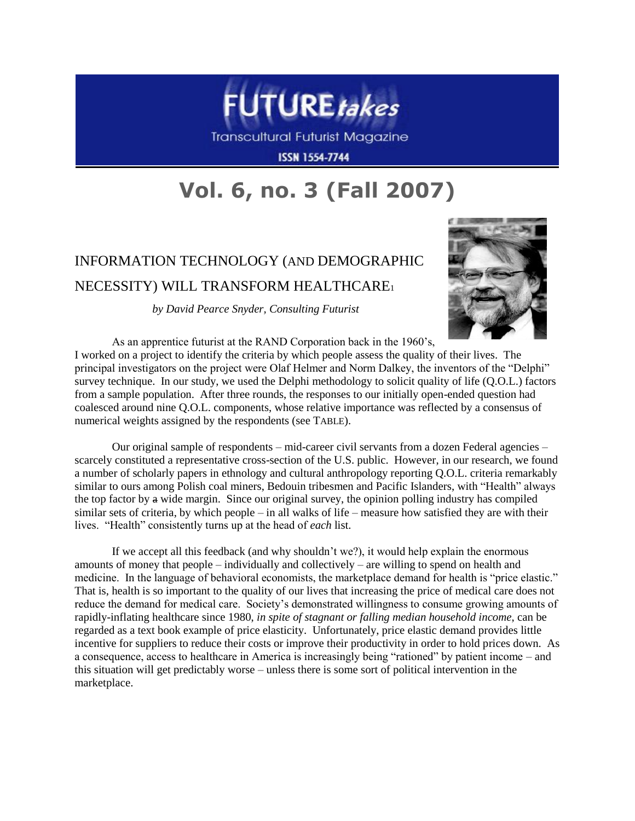

Transcultural Futurist Magazine

**ISSN 1554-7744** 

# **Vol. 6, no. 3 (Fall 2007)**

# INFORMATION TECHNOLOGY (AND DEMOGRAPHIC NECESSITY) WILL TRANSFORM HEALTHCARE<sup>1</sup>

*by David Pearce Snyder, Consulting Futurist*



As an apprentice futurist at the RAND Corporation back in the 1960's, I worked on a project to identify the criteria by which people assess the quality of their lives. The principal investigators on the project were Olaf Helmer and Norm Dalkey, the inventors of the "Delphi" survey technique. In our study, we used the Delphi methodology to solicit quality of life (Q.O.L.) factors from a sample population. After three rounds, the responses to our initially open-ended question had coalesced around nine Q.O.L. components, whose relative importance was reflected by a consensus of numerical weights assigned by the respondents (see TABLE).

Our original sample of respondents – mid-career civil servants from a dozen Federal agencies – scarcely constituted a representative cross-section of the U.S. public. However, in our research, we found a number of scholarly papers in ethnology and cultural anthropology reporting Q.O.L. criteria remarkably similar to ours among Polish coal miners, Bedouin tribesmen and Pacific Islanders, with "Health" always the top factor by a wide margin. Since our original survey, the opinion polling industry has compiled similar sets of criteria, by which people – in all walks of life – measure how satisfied they are with their lives. "Health" consistently turns up at the head of *each* list.

If we accept all this feedback (and why shouldn't we?), it would help explain the enormous amounts of money that people – individually and collectively – are willing to spend on health and medicine. In the language of behavioral economists, the marketplace demand for health is "price elastic." That is, health is so important to the quality of our lives that increasing the price of medical care does not reduce the demand for medical care. Society's demonstrated willingness to consume growing amounts of rapidly-inflating healthcare since 1980, *in spite of stagnant or falling median household income*, can be regarded as a text book example of price elasticity. Unfortunately, price elastic demand provides little incentive for suppliers to reduce their costs or improve their productivity in order to hold prices down. As a consequence, access to healthcare in America is increasingly being "rationed" by patient income – and this situation will get predictably worse – unless there is some sort of political intervention in the marketplace.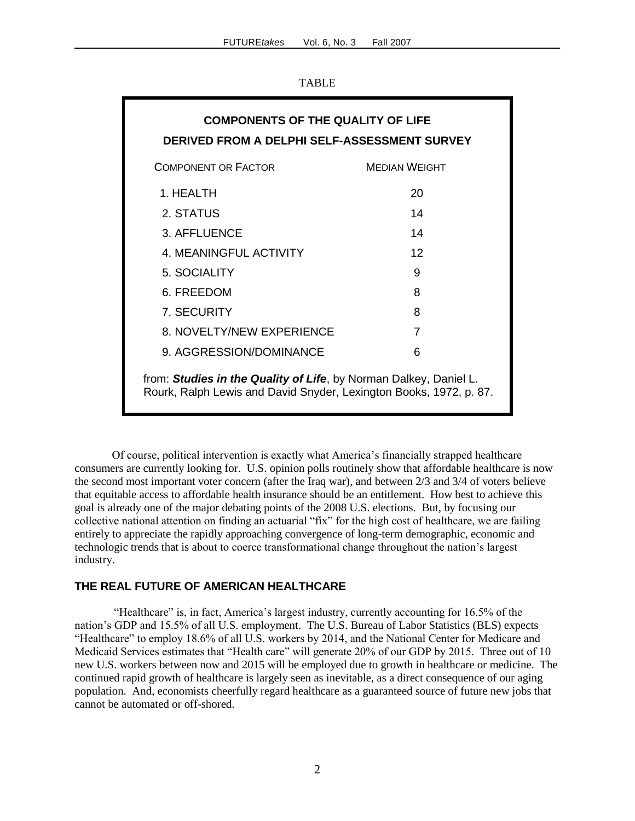|--|

| <b>COMPONENTS OF THE QUALITY OF LIFE</b><br>DERIVED FROM A DELPHI SELF-ASSESSMENT SURVEY                                                |                      |  |
|-----------------------------------------------------------------------------------------------------------------------------------------|----------------------|--|
| <b>COMPONENT OR FACTOR</b>                                                                                                              | <b>MEDIAN WEIGHT</b> |  |
| 1. HFAI TH                                                                                                                              | 20                   |  |
| 2. STATUS                                                                                                                               | 14                   |  |
| 3. AFFLUENCE                                                                                                                            | 14                   |  |
| 4. MEANINGFUL ACTIVITY                                                                                                                  | 12                   |  |
| 5. SOCIALITY                                                                                                                            | 9                    |  |
| 6. FREEDOM                                                                                                                              | 8                    |  |
| 7. SECURITY                                                                                                                             | 8                    |  |
| 8. NOVELTY/NEW EXPERIENCE                                                                                                               | 7                    |  |
| 9. AGGRESSION/DOMINANCE                                                                                                                 | 6                    |  |
| from: Studies in the Quality of Life, by Norman Dalkey, Daniel L.<br>Rourk, Ralph Lewis and David Snyder, Lexington Books, 1972, p. 87. |                      |  |

Of course, political intervention is exactly what America's financially strapped healthcare consumers are currently looking for. U.S. opinion polls routinely show that affordable healthcare is now the second most important voter concern (after the Iraq war), and between 2/3 and 3/4 of voters believe that equitable access to affordable health insurance should be an entitlement. How best to achieve this goal is already one of the major debating points of the 2008 U.S. elections. But, by focusing our collective national attention on finding an actuarial "fix" for the high cost of healthcare, we are failing entirely to appreciate the rapidly approaching convergence of long-term demographic, economic and technologic trends that is about to coerce transformational change throughout the nation's largest industry.

#### **THE REAL FUTURE OF AMERICAN HEALTHCARE**

"Healthcare" is, in fact, America's largest industry, currently accounting for 16.5% of the nation's GDP and 15.5% of all U.S. employment. The U.S. Bureau of Labor Statistics (BLS) expects "Healthcare" to employ 18.6% of all U.S. workers by 2014, and the National Center for Medicare and Medicaid Services estimates that "Health care" will generate 20% of our GDP by 2015. Three out of 10 new U.S. workers between now and 2015 will be employed due to growth in healthcare or medicine. The continued rapid growth of healthcare is largely seen as inevitable, as a direct consequence of our aging population. And, economists cheerfully regard healthcare as a guaranteed source of future new jobs that cannot be automated or off-shored.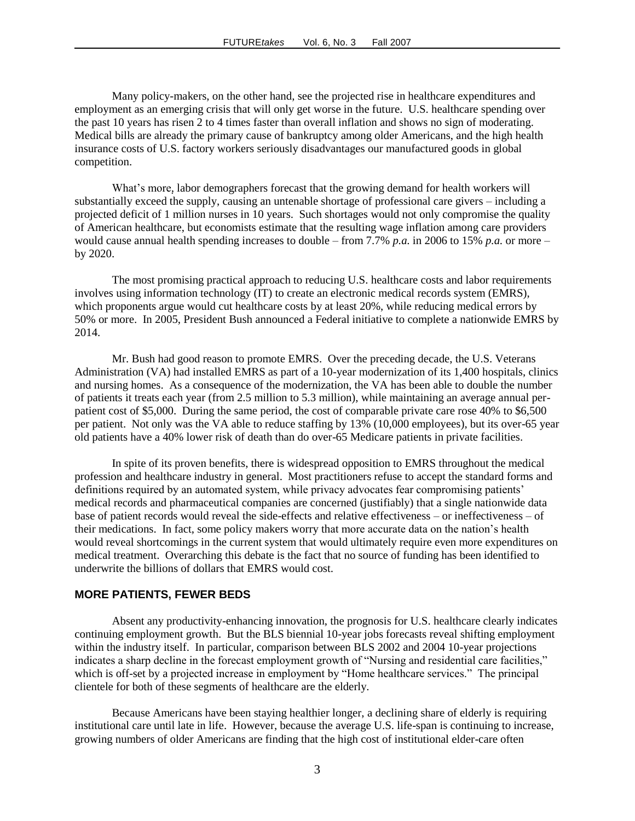Many policy-makers, on the other hand, see the projected rise in healthcare expenditures and employment as an emerging crisis that will only get worse in the future. U.S. healthcare spending over the past 10 years has risen 2 to 4 times faster than overall inflation and shows no sign of moderating. Medical bills are already the primary cause of bankruptcy among older Americans, and the high health insurance costs of U.S. factory workers seriously disadvantages our manufactured goods in global competition.

What's more*,* labor demographers forecast that the growing demand for health workers will substantially exceed the supply, causing an untenable shortage of professional care givers – including a projected deficit of 1 million nurses in 10 years. Such shortages would not only compromise the quality of American healthcare, but economists estimate that the resulting wage inflation among care providers would cause annual health spending increases to double – from 7.7% *p.a.* in 2006 to 15% *p.a.* or more – by 2020.

The most promising practical approach to reducing U.S. healthcare costs and labor requirements involves using information technology (IT) to create an electronic medical records system (EMRS), which proponents argue would cut healthcare costs by at least 20%, while reducing medical errors by 50% or more. In 2005, President Bush announced a Federal initiative to complete a nationwide EMRS by 2014.

Mr. Bush had good reason to promote EMRS. Over the preceding decade, the U.S. Veterans Administration (VA) had installed EMRS as part of a 10-year modernization of its 1,400 hospitals, clinics and nursing homes. As a consequence of the modernization, the VA has been able to double the number of patients it treats each year (from 2.5 million to 5.3 million), while maintaining an average annual perpatient cost of \$5,000. During the same period, the cost of comparable private care rose 40% to \$6,500 per patient. Not only was the VA able to reduce staffing by 13% (10,000 employees), but its over-65 year old patients have a 40% lower risk of death than do over-65 Medicare patients in private facilities.

In spite of its proven benefits, there is widespread opposition to EMRS throughout the medical profession and healthcare industry in general. Most practitioners refuse to accept the standard forms and definitions required by an automated system, while privacy advocates fear compromising patients' medical records and pharmaceutical companies are concerned (justifiably) that a single nationwide data base of patient records would reveal the side-effects and relative effectiveness – or ineffectiveness – of their medications. In fact, some policy makers worry that more accurate data on the nation's health would reveal shortcomings in the current system that would ultimately require even more expenditures on medical treatment. Overarching this debate is the fact that no source of funding has been identified to underwrite the billions of dollars that EMRS would cost.

#### **MORE PATIENTS, FEWER BEDS**

Absent any productivity-enhancing innovation, the prognosis for U.S. healthcare clearly indicates continuing employment growth. But the BLS biennial 10-year jobs forecasts reveal shifting employment within the industry itself. In particular, comparison between BLS 2002 and 2004 10-year projections indicates a sharp decline in the forecast employment growth of "Nursing and residential care facilities," which is off-set by a projected increase in employment by "Home healthcare services." The principal clientele for both of these segments of healthcare are the elderly.

Because Americans have been staying healthier longer, a declining share of elderly is requiring institutional care until late in life. However, because the average U.S. life-span is continuing to increase, growing numbers of older Americans are finding that the high cost of institutional elder-care often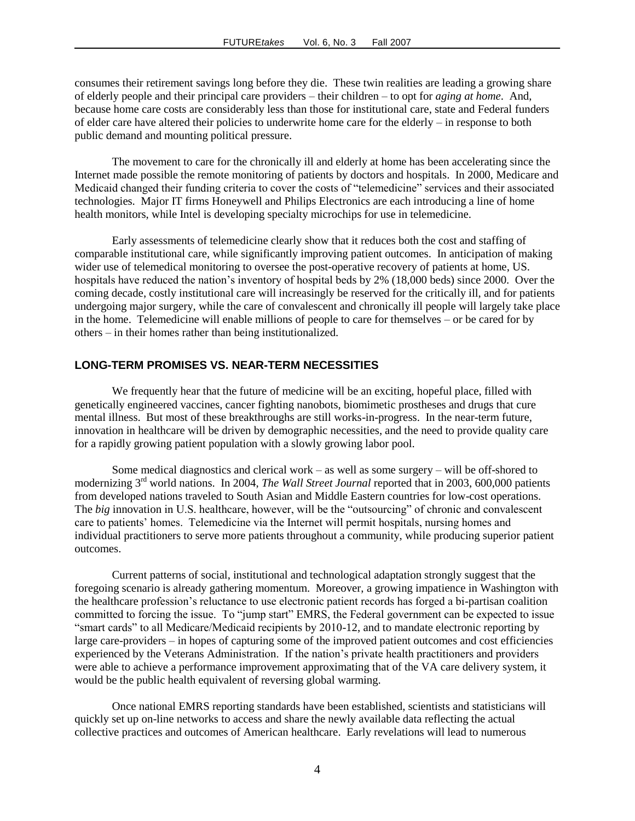consumes their retirement savings long before they die. These twin realities are leading a growing share of elderly people and their principal care providers – their children – to opt for *aging at home*. And, because home care costs are considerably less than those for institutional care, state and Federal funders of elder care have altered their policies to underwrite home care for the elderly – in response to both public demand and mounting political pressure.

The movement to care for the chronically ill and elderly at home has been accelerating since the Internet made possible the remote monitoring of patients by doctors and hospitals. In 2000, Medicare and Medicaid changed their funding criteria to cover the costs of "telemedicine" services and their associated technologies. Major IT firms Honeywell and Philips Electronics are each introducing a line of home health monitors, while Intel is developing specialty microchips for use in telemedicine.

Early assessments of telemedicine clearly show that it reduces both the cost and staffing of comparable institutional care, while significantly improving patient outcomes. In anticipation of making wider use of telemedical monitoring to oversee the post-operative recovery of patients at home, US. hospitals have reduced the nation's inventory of hospital beds by 2% (18,000 beds) since 2000. Over the coming decade, costly institutional care will increasingly be reserved for the critically ill, and for patients undergoing major surgery, while the care of convalescent and chronically ill people will largely take place in the home. Telemedicine will enable millions of people to care for themselves – or be cared for by others – in their homes rather than being institutionalized.

## **LONG-TERM PROMISES VS. NEAR-TERM NECESSITIES**

We frequently hear that the future of medicine will be an exciting, hopeful place, filled with genetically engineered vaccines, cancer fighting nanobots, biomimetic prostheses and drugs that cure mental illness. But most of these breakthroughs are still works-in-progress. In the near-term future, innovation in healthcare will be driven by demographic necessities, and the need to provide quality care for a rapidly growing patient population with a slowly growing labor pool.

Some medical diagnostics and clerical work – as well as some surgery – will be off-shored to modernizing 3rd world nations. In 2004, *The Wall Street Journal* reported that in 2003, 600,000 patients from developed nations traveled to South Asian and Middle Eastern countries for low-cost operations. The *big* innovation in U.S. healthcare, however, will be the "outsourcing" of chronic and convalescent care to patients' homes. Telemedicine via the Internet will permit hospitals, nursing homes and individual practitioners to serve more patients throughout a community, while producing superior patient outcomes.

Current patterns of social, institutional and technological adaptation strongly suggest that the foregoing scenario is already gathering momentum. Moreover, a growing impatience in Washington with the healthcare profession's reluctance to use electronic patient records has forged a bi-partisan coalition committed to forcing the issue. To "jump start" EMRS, the Federal government can be expected to issue "smart cards" to all Medicare/Medicaid recipients by 2010-12, and to mandate electronic reporting by large care-providers – in hopes of capturing some of the improved patient outcomes and cost efficiencies experienced by the Veterans Administration. If the nation's private health practitioners and providers were able to achieve a performance improvement approximating that of the VA care delivery system, it would be the public health equivalent of reversing global warming.

Once national EMRS reporting standards have been established, scientists and statisticians will quickly set up on-line networks to access and share the newly available data reflecting the actual collective practices and outcomes of American healthcare. Early revelations will lead to numerous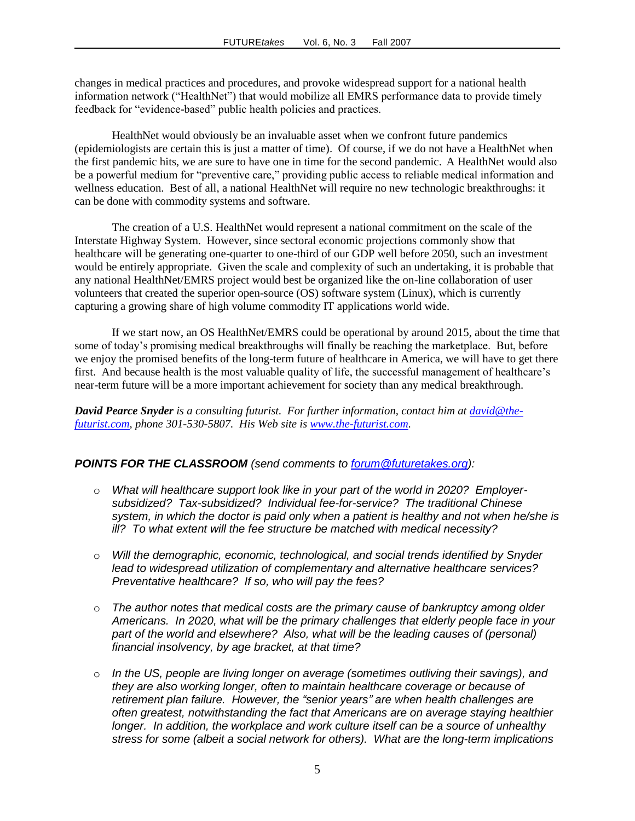changes in medical practices and procedures, and provoke widespread support for a national health information network ("HealthNet") that would mobilize all EMRS performance data to provide timely feedback for "evidence-based" public health policies and practices.

HealthNet would obviously be an invaluable asset when we confront future pandemics (epidemiologists are certain this is just a matter of time). Of course, if we do not have a HealthNet when the first pandemic hits, we are sure to have one in time for the second pandemic. A HealthNet would also be a powerful medium for "preventive care," providing public access to reliable medical information and wellness education. Best of all, a national HealthNet will require no new technologic breakthroughs: it can be done with commodity systems and software.

The creation of a U.S. HealthNet would represent a national commitment on the scale of the Interstate Highway System. However, since sectoral economic projections commonly show that healthcare will be generating one-quarter to one-third of our GDP well before 2050, such an investment would be entirely appropriate. Given the scale and complexity of such an undertaking, it is probable that any national HealthNet/EMRS project would best be organized like the on-line collaboration of user volunteers that created the superior open-source (OS) software system (Linux), which is currently capturing a growing share of high volume commodity IT applications world wide.

If we start now, an OS HealthNet/EMRS could be operational by around 2015, about the time that some of today's promising medical breakthroughs will finally be reaching the marketplace. But, before we enjoy the promised benefits of the long-term future of healthcare in America, we will have to get there first. And because health is the most valuable quality of life, the successful management of healthcare's near-term future will be a more important achievement for society than any medical breakthrough.

*David Pearce Snyder is a consulting futurist. For further information, contact him a[t david@the](mailto:david@the-futurist.com)[futurist.com,](mailto:david@the-futurist.com) phone 301-530-5807. His Web site is [www.the-futurist.com.](http://www.the-futurist.com/)*

### *POINTS FOR THE CLASSROOM (send comments to [forum@futuretakes.org\)](mailto:forum@futuretakes.org):*

- o *What will healthcare support look like in your part of the world in 2020? Employersubsidized? Tax-subsidized? Individual fee-for-service? The traditional Chinese system, in which the doctor is paid only when a patient is healthy and not when he/she is ill? To what extent will the fee structure be matched with medical necessity?*
- o *Will the demographic, economic, technological, and social trends identified by Snyder lead to widespread utilization of complementary and alternative healthcare services? Preventative healthcare? If so, who will pay the fees?*
- o *The author notes that medical costs are the primary cause of bankruptcy among older Americans. In 2020, what will be the primary challenges that elderly people face in your part of the world and elsewhere? Also, what will be the leading causes of (personal) financial insolvency, by age bracket, at that time?*
- o *In the US, people are living longer on average (sometimes outliving their savings), and they are also working longer, often to maintain healthcare coverage or because of retirement plan failure. However, the "senior years" are when health challenges are often greatest, notwithstanding the fact that Americans are on average staying healthier longer. In addition, the workplace and work culture itself can be a source of unhealthy stress for some (albeit a social network for others). What are the long-term implications*